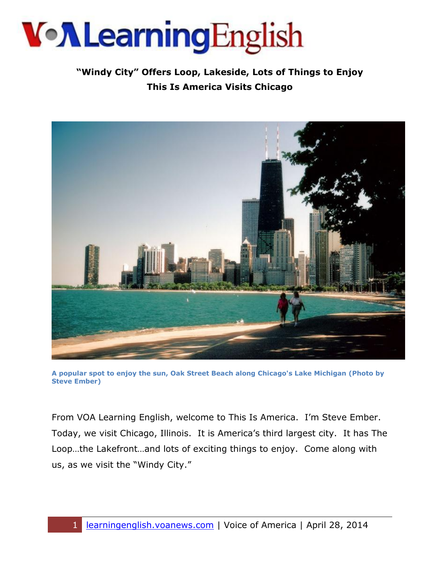

### **"Windy City" Offers Loop, Lakeside, Lots of Things to Enjoy This Is America Visits Chicago**



**A popular spot to enjoy the sun, Oak Street Beach along Chicago's Lake Michigan (Photo by Steve Ember)**

From VOA Learning English, welcome to This Is America. I'm Steve Ember. Today, we visit Chicago, Illinois. It is America's third largest city. It has The Loop…the Lakefront…and lots of exciting things to enjoy. Come along with us, as we visit the "Windy City."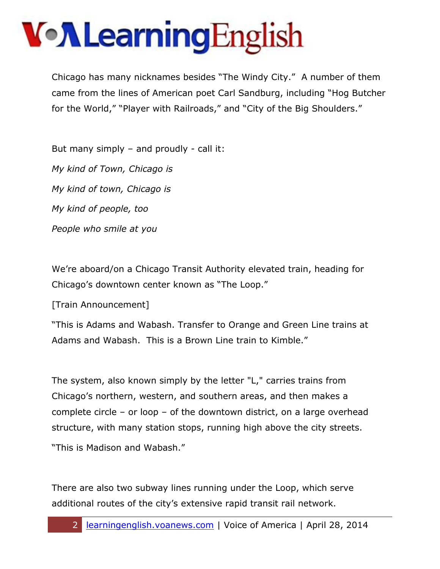Chicago has many nicknames besides "The Windy City." A number of them came from the lines of American poet Carl Sandburg, including "Hog Butcher for the World," "Player with Railroads," and "City of the Big Shoulders."

But many simply – and proudly - call it: *My kind of Town, Chicago is My kind of town, Chicago is My kind of people, too People who smile at you*

We're aboard/on a Chicago Transit Authority elevated train, heading for Chicago's downtown center known as "The Loop."

[Train Announcement]

"This is Adams and Wabash. Transfer to Orange and Green Line trains at Adams and Wabash. This is a Brown Line train to Kimble."

The system, also known simply by the letter "L," carries trains from Chicago's northern, western, and southern areas, and then makes a complete circle – or loop – of the downtown district, on a large overhead structure, with many station stops, running high above the city streets. "This is Madison and Wabash."

There are also two subway lines running under the Loop, which serve additional routes of the city's extensive rapid transit rail network.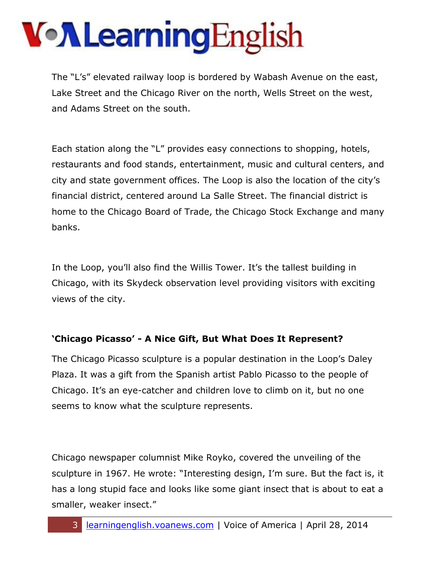# VollearningEnglish

The "L's" elevated railway loop is bordered by Wabash Avenue on the east, Lake Street and the Chicago River on the north, Wells Street on the west, and Adams Street on the south.

Each station along the "L" provides easy connections to shopping, hotels, restaurants and food stands, entertainment, music and cultural centers, and city and state government offices. The Loop is also the location of the city's financial district, centered around La Salle Street. The financial district is home to the Chicago Board of Trade, the Chicago Stock Exchange and many banks.

In the Loop, you'll also find the Willis Tower. It's the tallest building in Chicago, with its Skydeck observation level providing visitors with exciting views of the city.

#### **'Chicago Picasso' - A Nice Gift, But What Does It Represent?**

The Chicago Picasso sculpture is a popular destination in the Loop's Daley Plaza. It was a gift from the Spanish artist Pablo Picasso to the people of Chicago. It's an eye-catcher and children love to climb on it, but no one seems to know what the sculpture represents.

Chicago newspaper columnist Mike Royko, covered the unveiling of the sculpture in 1967. He wrote: "Interesting design, I'm sure. But the fact is, it has a long stupid face and looks like some giant insect that is about to eat a smaller, weaker insect."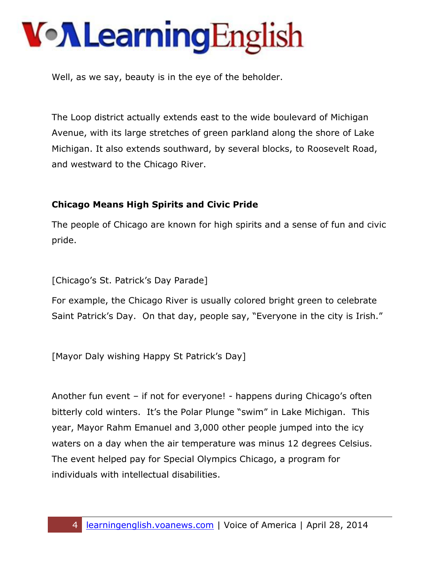Well, as we say, beauty is in the eye of the beholder.

The Loop district actually extends east to the wide boulevard of Michigan Avenue, with its large stretches of green parkland along the shore of Lake Michigan. It also extends southward, by several blocks, to Roosevelt Road, and westward to the Chicago River.

#### **Chicago Means High Spirits and Civic Pride**

The people of Chicago are known for high spirits and a sense of fun and civic pride.

[Chicago's St. Patrick's Day Parade]

For example, the Chicago River is usually colored bright green to celebrate Saint Patrick's Day. On that day, people say, "Everyone in the city is Irish."

[Mayor Daly wishing Happy St Patrick's Day]

Another fun event – if not for everyone! - happens during Chicago's often bitterly cold winters. It's the Polar Plunge "swim" in Lake Michigan. This year, Mayor Rahm Emanuel and 3,000 other people jumped into the icy waters on a day when the air temperature was minus 12 degrees Celsius. The event helped pay for Special Olympics Chicago, a program for individuals with intellectual disabilities.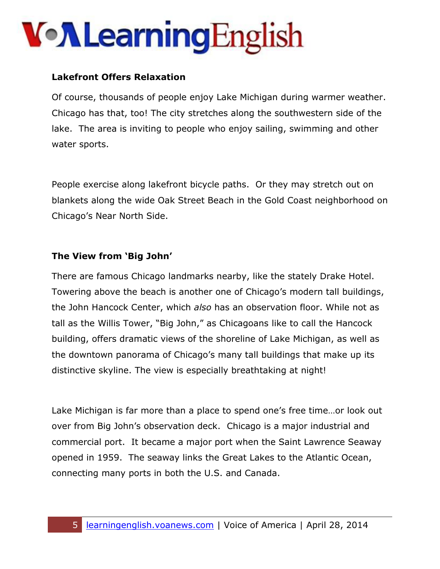#### **Lakefront Offers Relaxation**

Of course, thousands of people enjoy Lake Michigan during warmer weather. Chicago has that, too! The city stretches along the southwestern side of the lake. The area is inviting to people who enjoy sailing, swimming and other water sports.

People exercise along lakefront bicycle paths. Or they may stretch out on blankets along the wide Oak Street Beach in the Gold Coast neighborhood on Chicago's Near North Side.

#### **The View from 'Big John'**

There are famous Chicago landmarks nearby, like the stately Drake Hotel. Towering above the beach is another one of Chicago's modern tall buildings, the John Hancock Center, which *also* has an observation floor. While not as tall as the Willis Tower, "Big John," as Chicagoans like to call the Hancock building, offers dramatic views of the shoreline of Lake Michigan, as well as the downtown panorama of Chicago's many tall buildings that make up its distinctive skyline. The view is especially breathtaking at night!

Lake Michigan is far more than a place to spend one's free time…or look out over from Big John's observation deck. Chicago is a major industrial and commercial port. It became a major port when the Saint Lawrence Seaway opened in 1959. The seaway links the Great Lakes to the Atlantic Ocean, connecting many ports in both the U.S. and Canada.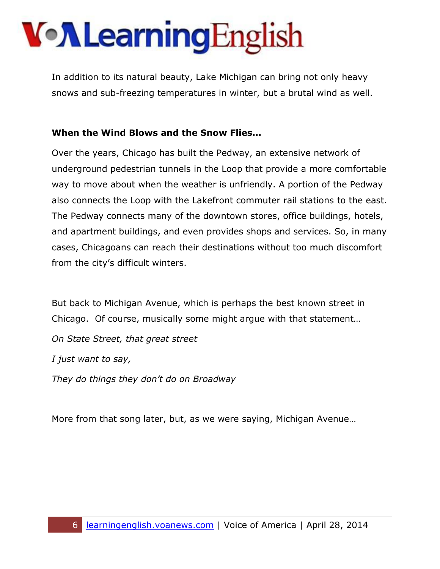In addition to its natural beauty, Lake Michigan can bring not only heavy snows and sub-freezing temperatures in winter, but a brutal wind as well.

#### **When the Wind Blows and the Snow Flies…**

Over the years, Chicago has built the Pedway, an extensive network of underground pedestrian tunnels in the Loop that provide a more comfortable way to move about when the weather is unfriendly. A portion of the Pedway also connects the Loop with the Lakefront commuter rail stations to the east. The Pedway connects many of the downtown stores, office buildings, hotels, and apartment buildings, and even provides shops and services. So, in many cases, Chicagoans can reach their destinations without too much discomfort from the city's difficult winters.

But back to Michigan Avenue, which is perhaps the best known street in Chicago. Of course, musically some might argue with that statement…

*On State Street, that great street*

*I just want to say,*

*They do things they don't do on Broadway*

More from that song later, but, as we were saying, Michigan Avenue…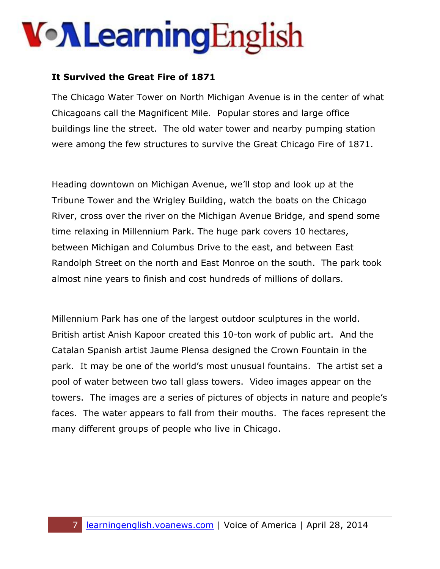# VollearningEnglish

#### **It Survived the Great Fire of 1871**

The Chicago Water Tower on North Michigan Avenue is in the center of what Chicagoans call the Magnificent Mile. Popular stores and large office buildings line the street. The old water tower and nearby pumping station were among the few structures to survive the Great Chicago Fire of 1871.

Heading downtown on Michigan Avenue, we'll stop and look up at the Tribune Tower and the Wrigley Building, watch the boats on the Chicago River, cross over the river on the Michigan Avenue Bridge, and spend some time relaxing in Millennium Park. The huge park covers 10 hectares, between Michigan and Columbus Drive to the east, and between East Randolph Street on the north and East Monroe on the south. The park took almost nine years to finish and cost hundreds of millions of dollars.

Millennium Park has one of the largest outdoor sculptures in the world. British artist Anish Kapoor created this 10-ton work of public art. And the Catalan Spanish artist Jaume Plensa designed the Crown Fountain in the park. It may be one of the world's most unusual fountains. The artist set a pool of water between two tall glass towers. Video images appear on the towers. The images are a series of pictures of objects in nature and people's faces. The water appears to fall from their mouths. The faces represent the many different groups of people who live in Chicago.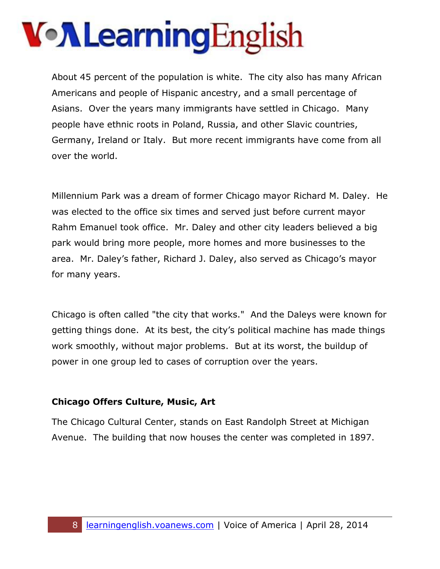About 45 percent of the population is white. The city also has many African Americans and people of Hispanic ancestry, and a small percentage of Asians. Over the years many immigrants have settled in Chicago. Many people have ethnic roots in Poland, Russia, and other Slavic countries, Germany, Ireland or Italy. But more recent immigrants have come from all over the world.

Millennium Park was a dream of former Chicago mayor Richard M. Daley. He was elected to the office six times and served just before current mayor Rahm Emanuel took office. Mr. Daley and other city leaders believed a big park would bring more people, more homes and more businesses to the area. Mr. Daley's father, Richard J. Daley, also served as Chicago's mayor for many years.

Chicago is often called "the city that works." And the Daleys were known for getting things done. At its best, the city's political machine has made things work smoothly, without major problems. But at its worst, the buildup of power in one group led to cases of corruption over the years.

#### **Chicago Offers Culture, Music, Art**

The Chicago Cultural Center, stands on East Randolph Street at Michigan Avenue. The building that now houses the center was completed in 1897.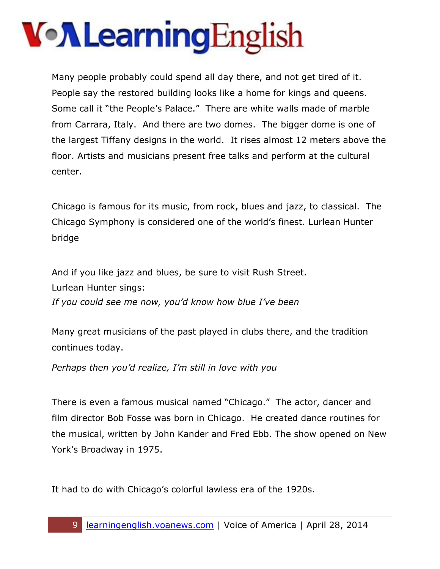Many people probably could spend all day there, and not get tired of it. People say the restored building looks like a home for kings and queens. Some call it "the People's Palace." There are white walls made of marble from Carrara, Italy. And there are two domes. The bigger dome is one of the largest Tiffany designs in the world. It rises almost 12 meters above the floor. Artists and musicians present free talks and perform at the cultural center.

Chicago is famous for its music, from rock, blues and jazz, to classical. The Chicago Symphony is considered one of the world's finest. Lurlean Hunter bridge

And if you like jazz and blues, be sure to visit Rush Street. Lurlean Hunter sings: *If you could see me now, you'd know how blue I've been*

Many great musicians of the past played in clubs there, and the tradition continues today.

*Perhaps then you'd realize, I'm still in love with you*

There is even a famous musical named "Chicago." The actor, dancer and film director Bob Fosse was born in Chicago. He created dance routines for the musical, written by John Kander and Fred Ebb. The show opened on New York's Broadway in 1975.

It had to do with Chicago's colorful lawless era of the 1920s.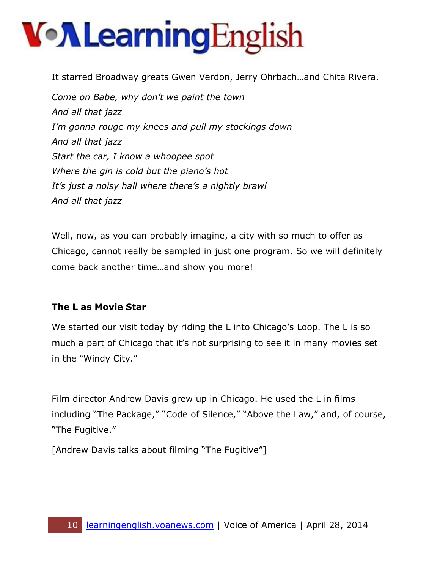It starred Broadway greats Gwen Verdon, Jerry Ohrbach…and Chita Rivera.

*Come on Babe, why don't we paint the town And all that jazz I'm gonna rouge my knees and pull my stockings down And all that jazz Start the car, I know a whoopee spot Where the gin is cold but the piano's hot It's just a noisy hall where there's a nightly brawl And all that jazz*

Well, now, as you can probably imagine, a city with so much to offer as Chicago, cannot really be sampled in just one program. So we will definitely come back another time…and show you more!

#### **The L as Movie Star**

We started our visit today by riding the L into Chicago's Loop. The L is so much a part of Chicago that it's not surprising to see it in many movies set in the "Windy City."

Film director Andrew Davis grew up in Chicago. He used the L in films including "The Package," "Code of Silence," "Above the Law," and, of course, "The Fugitive."

[Andrew Davis talks about filming "The Fugitive"]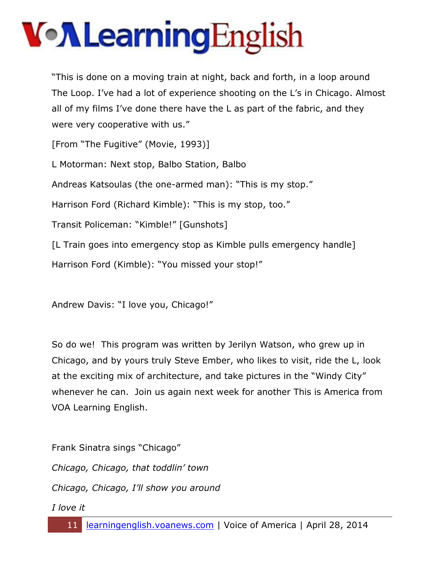"This is done on a moving train at night, back and forth, in a loop around The Loop. I've had a lot of experience shooting on the L's in Chicago. Almost all of my films I've done there have the L as part of the fabric, and they were very cooperative with us."

[From "The Fugitive" (Movie, 1993)]

L Motorman: Next stop, Balbo Station, Balbo

Andreas Katsoulas (the one-armed man): "This is my stop."

Harrison Ford (Richard Kimble): "This is my stop, too."

Transit Policeman: "Kimble!" [Gunshots]

[L Train goes into emergency stop as Kimble pulls emergency handle]

Harrison Ford (Kimble): "You missed your stop!"

Andrew Davis: "I love you, Chicago!"

So do we! This program was written by Jerilyn Watson, who grew up in Chicago, and by yours truly Steve Ember, who likes to visit, ride the L, look at the exciting mix of architecture, and take pictures in the "Windy City" whenever he can. Join us again next week for another This is America from VOA Learning English.

Frank Sinatra sings "Chicago" *Chicago, Chicago, that toddlin' town Chicago, Chicago, I'll show you around I love it*